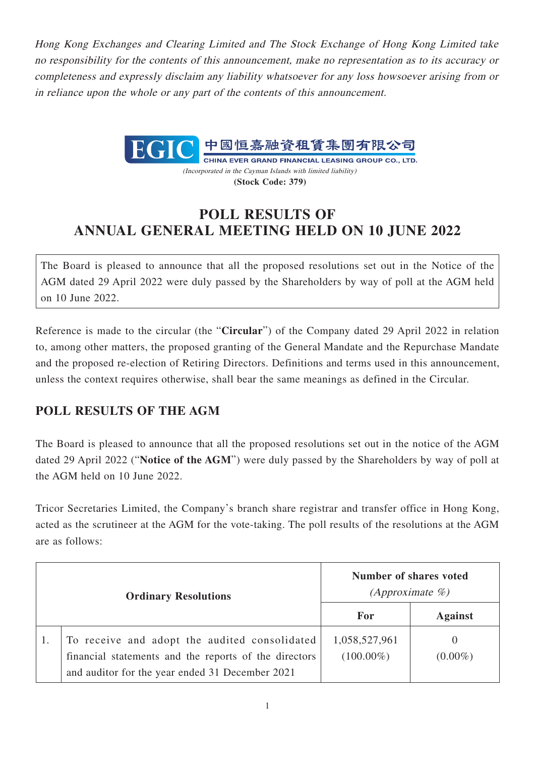Hong Kong Exchanges and Clearing Limited and The Stock Exchange of Hong Kong Limited take no responsibility for the contents of this announcement, make no representation as to its accuracy or completeness and expressly disclaim any liability whatsoever for any loss howsoever arising from or in reliance upon the whole or any part of the contents of this announcement.



CHINA EVER GRAND FINANCIAL LEASING GROUP CO., LTD. (Incorporated in the Cayman Islands with limited liability) **(Stock Code: 379)**

## **POLL RESULTS OF ANNUAL GENERAL MEETING HELD ON 10 JUNE 2022**

The Board is pleased to announce that all the proposed resolutions set out in the Notice of the AGM dated 29 April 2022 were duly passed by the Shareholders by way of poll at the AGM held on 10 June 2022.

Reference is made to the circular (the "**Circular**") of the Company dated 29 April 2022 in relation to, among other matters, the proposed granting of the General Mandate and the Repurchase Mandate and the proposed re-election of Retiring Directors. Definitions and terms used in this announcement, unless the context requires otherwise, shall bear the same meanings as defined in the Circular.

## **POLL RESULTS OF THE AGM**

The Board is pleased to announce that all the proposed resolutions set out in the notice of the AGM dated 29 April 2022 ("**Notice of the AGM**") were duly passed by the Shareholders by way of poll at the AGM held on 10 June 2022.

Tricor Secretaries Limited, the Company's branch share registrar and transfer office in Hong Kong, acted as the scrutineer at the AGM for the vote-taking. The poll results of the resolutions at the AGM are as follows:

| <b>Ordinary Resolutions</b> |                                                                                                                                                           | Number of shares voted<br>(Approximate $\%$ ) |                        |
|-----------------------------|-----------------------------------------------------------------------------------------------------------------------------------------------------------|-----------------------------------------------|------------------------|
|                             |                                                                                                                                                           | For                                           | <b>Against</b>         |
|                             | To receive and adopt the audited consolidated<br>financial statements and the reports of the directors<br>and auditor for the year ended 31 December 2021 | 1,058,527,961<br>$(100.00\%)$                 | $\theta$<br>$(0.00\%)$ |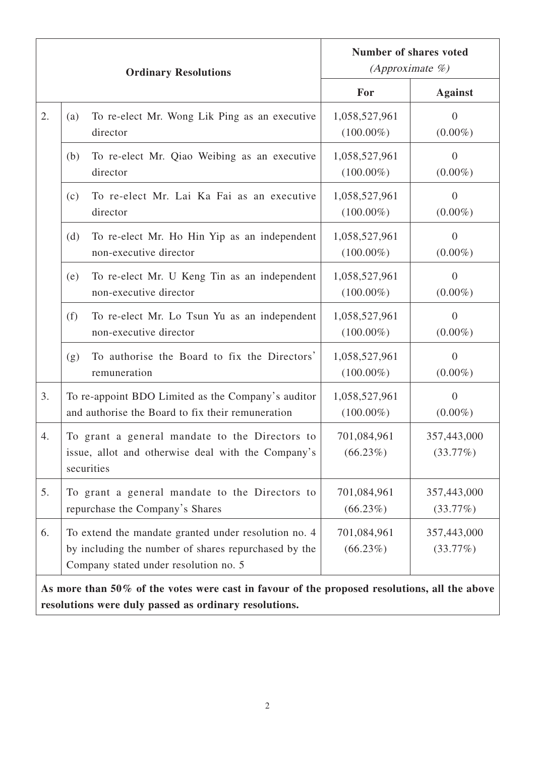| <b>Ordinary Resolutions</b>                                                                  |                                                                                                                                                       | <b>Number of shares voted</b><br>(Approximate $\%$ ) |                                |  |  |
|----------------------------------------------------------------------------------------------|-------------------------------------------------------------------------------------------------------------------------------------------------------|------------------------------------------------------|--------------------------------|--|--|
|                                                                                              |                                                                                                                                                       | For                                                  | <b>Against</b>                 |  |  |
| 2.                                                                                           | To re-elect Mr. Wong Lik Ping as an executive<br>(a)<br>director                                                                                      | 1,058,527,961<br>$(100.00\%)$                        | $\boldsymbol{0}$<br>$(0.00\%)$ |  |  |
|                                                                                              | To re-elect Mr. Qiao Weibing as an executive<br>(b)<br>director                                                                                       | 1,058,527,961<br>$(100.00\%)$                        | $\overline{0}$<br>$(0.00\%)$   |  |  |
|                                                                                              | To re-elect Mr. Lai Ka Fai as an executive<br>(c)<br>director                                                                                         | 1,058,527,961<br>$(100.00\%)$                        | $\overline{0}$<br>$(0.00\%)$   |  |  |
|                                                                                              | (d)<br>To re-elect Mr. Ho Hin Yip as an independent<br>non-executive director                                                                         | 1,058,527,961<br>$(100.00\%)$                        | $\theta$<br>$(0.00\%)$         |  |  |
|                                                                                              | To re-elect Mr. U Keng Tin as an independent<br>(e)<br>non-executive director                                                                         | 1,058,527,961<br>$(100.00\%)$                        | $\overline{0}$<br>$(0.00\%)$   |  |  |
|                                                                                              | (f)<br>To re-elect Mr. Lo Tsun Yu as an independent<br>non-executive director                                                                         | 1,058,527,961<br>$(100.00\%)$                        | $\overline{0}$<br>$(0.00\%)$   |  |  |
|                                                                                              | To authorise the Board to fix the Directors'<br>(g)<br>remuneration                                                                                   | 1,058,527,961<br>$(100.00\%)$                        | $\overline{0}$<br>$(0.00\%)$   |  |  |
| 3.                                                                                           | To re-appoint BDO Limited as the Company's auditor<br>and authorise the Board to fix their remuneration                                               | 1,058,527,961<br>$(100.00\%)$                        | $\theta$<br>$(0.00\%)$         |  |  |
| 4.                                                                                           | To grant a general mandate to the Directors to<br>issue, allot and otherwise deal with the Company's<br>securities                                    | 701,084,961<br>$(66.23\%)$                           | 357,443,000<br>(33.77%)        |  |  |
| 5.                                                                                           | To grant a general mandate to the Directors to<br>repurchase the Company's Shares                                                                     | 701,084,961<br>$(66.23\%)$                           | 357,443,000<br>(33.77%)        |  |  |
| 6.                                                                                           | To extend the mandate granted under resolution no. 4<br>by including the number of shares repurchased by the<br>Company stated under resolution no. 5 | 701,084,961<br>$(66.23\%)$                           | 357,443,000<br>(33.77%)        |  |  |
| As more than 50% of the votes were cast in favour of the proposed resolutions, all the above |                                                                                                                                                       |                                                      |                                |  |  |

**As more than 50% of the votes were cast in favour of the proposed resolutions, all the above resolutions were duly passed as ordinary resolutions.**